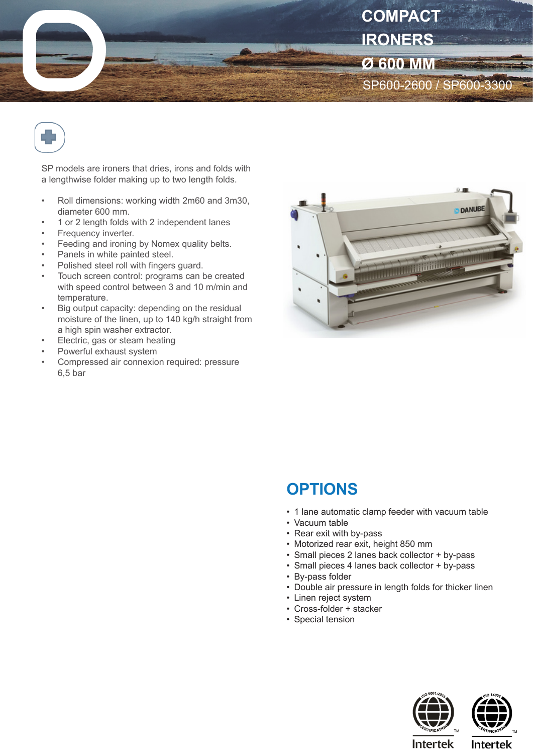



SP models are ironers that dries, irons and folds with a lengthwise folder making up to two length folds.

- Roll dimensions: working width 2m60 and 3m30, diameter 600 mm.
- 1 or 2 length folds with 2 independent lanes
- Frequency inverter.
- Feeding and ironing by Nomex quality belts.
- Panels in white painted steel.
- Polished steel roll with fingers guard.
- Touch screen control: programs can be created with speed control between 3 and 10 m/min and temperature.
- Big output capacity: depending on the residual moisture of the linen, up to 140 kg/h straight from a high spin washer extractor.
- Electric, gas or steam heating
- Powerful exhaust system
- Compressed air connexion required: pressure 6,5 bar



## **OPTIONS**

- 1 lane automatic clamp feeder with vacuum table
- Vacuum table
- Rear exit with by-pass
- Motorized rear exit, height 850 mm
- Small pieces 2 lanes back collector + by-pass
- Small pieces 4 lanes back collector + by-pass
- By-pass folder
- Double air pressure in length folds for thicker linen
- Linen reject system
- Cross-folder + stacker
- Special tension





**Intertek** 

**Intertek**